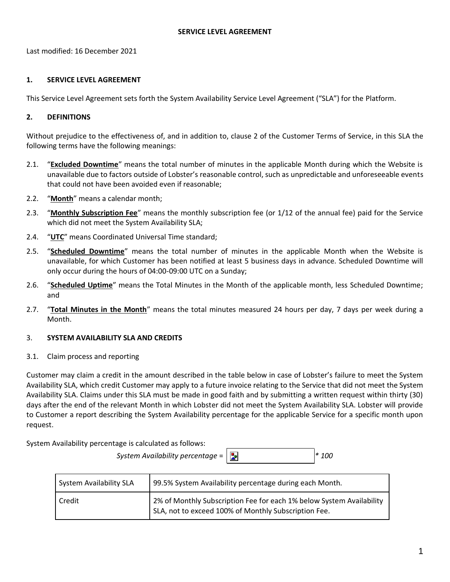Last modified: 16 December 2021

## **1. SERVICE LEVEL AGREEMENT**

This Service Level Agreement sets forth the System Availability Service Level Agreement ("SLA") for the Platform.

# **2. DEFINITIONS**

Without prejudice to the effectiveness of, and in addition to, clause 2 of the Customer Terms of Service, in this SLA the following terms have the following meanings:

- 2.1. "**Excluded Downtime**" means the total number of minutes in the applicable Month during which the Website is unavailable due to factors outside of Lobster's reasonable control, such as unpredictable and unforeseeable events that could not have been avoided even if reasonable;
- 2.2. "**Month**" means a calendar month;
- 2.3. "**Monthly Subscription Fee**" means the monthly subscription fee (or 1/12 of the annual fee) paid for the Service which did not meet the System Availability SLA;
- 2.4. "**UTC**" means Coordinated Universal Time standard;
- 2.5. "**Scheduled Downtime**" means the total number of minutes in the applicable Month when the Website is unavailable, for which Customer has been notified at least 5 business days in advance. Scheduled Downtime will only occur during the hours of 04:00-09:00 UTC on a Sunday;
- 2.6. "**Scheduled Uptime**" means the Total Minutes in the Month of the applicable month, less Scheduled Downtime; and
- 2.7. "**Total Minutes in the Month**" means the total minutes measured 24 hours per day, 7 days per week during a Month.

# 3. **SYSTEM AVAILABILITY SLA AND CREDITS**

3.1. Claim process and reporting

Customer may claim a credit in the amount described in the table below in case of Lobster's failure to meet the System Availability SLA, which credit Customer may apply to a future invoice relating to the Service that did not meet the System Availability SLA. Claims under this SLA must be made in good faith and by submitting a written request within thirty (30) days after the end of the relevant Month in which Lobster did not meet the System Availability SLA. Lobster will provide to Customer a report describing the System Availability percentage for the applicable Service for a specific month upon request.

System Availability percentage is calculated as follows:

*System Availability percentage* = *\* 100*

| System Availability SLA | 99.5% System Availability percentage during each Month.                                                                      |
|-------------------------|------------------------------------------------------------------------------------------------------------------------------|
| Credit                  | 2% of Monthly Subscription Fee for each 1% below System Availability<br>SLA, not to exceed 100% of Monthly Subscription Fee. |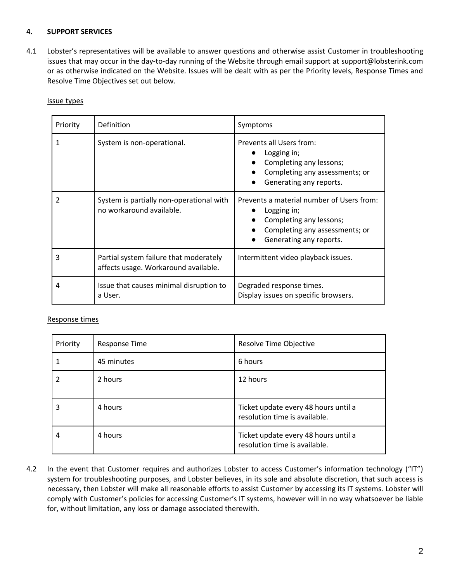### **4. SUPPORT SERVICES**

4.1 Lobster's representatives will be available to answer questions and otherwise assist Customer in troubleshooting issues that may occur in the day-to-day running of the Website through email support at [support@lobsterink.com](mailto:support@lobsterink.com) or as otherwise indicated on the Website. Issues will be dealt with as per the Priority levels, Response Times and Resolve Time Objectives set out below.

| Priority | Definition                                                                     | Symptoms                                                                                                                                         |
|----------|--------------------------------------------------------------------------------|--------------------------------------------------------------------------------------------------------------------------------------------------|
|          | System is non-operational.                                                     | Prevents all Users from:<br>Logging in;<br>Completing any lessons;<br>Completing any assessments; or<br>Generating any reports.                  |
| 2        | System is partially non-operational with<br>no workaround available.           | Prevents a material number of Users from:<br>Logging in;<br>Completing any lessons;<br>Completing any assessments; or<br>Generating any reports. |
| 3        | Partial system failure that moderately<br>affects usage. Workaround available. | Intermittent video playback issues.                                                                                                              |
| 4        | Issue that causes minimal disruption to<br>a User.                             | Degraded response times.<br>Display issues on specific browsers.                                                                                 |

#### Issue types

#### Response times

| Priority | <b>Response Time</b> | Resolve Time Objective                                                |
|----------|----------------------|-----------------------------------------------------------------------|
|          | 45 minutes           | 6 hours                                                               |
| 2        | 2 hours              | 12 hours                                                              |
| 3        | 4 hours              | Ticket update every 48 hours until a<br>resolution time is available. |
| 4        | 4 hours              | Ticket update every 48 hours until a<br>resolution time is available. |

4.2 In the event that Customer requires and authorizes Lobster to access Customer's information technology ("IT") system for troubleshooting purposes, and Lobster believes, in its sole and absolute discretion, that such access is necessary, then Lobster will make all reasonable efforts to assist Customer by accessing its IT systems. Lobster will comply with Customer's policies for accessing Customer's IT systems, however will in no way whatsoever be liable for, without limitation, any loss or damage associated therewith.